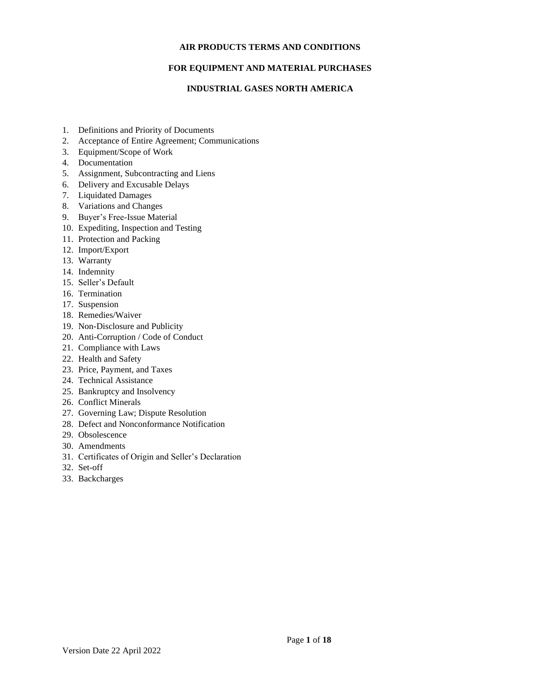### **AIR PRODUCTS TERMS AND CONDITIONS**

# **FOR EQUIPMENT AND MATERIAL PURCHASES**

# **INDUSTRIAL GASES NORTH AMERICA**

- 1. Definitions and Priority of Documents
- 2. Acceptance of Entire Agreement; Communications
- 3. Equipment/Scope of Work
- 4. Documentation
- 5. Assignment, Subcontracting and Liens
- 6. Delivery and Excusable Delays
- 7. Liquidated Damages
- 8. Variations and Changes
- 9. Buyer's Free-Issue Material
- 10. Expediting, Inspection and Testing
- 11. Protection and Packing
- 12. Import/Export
- 13. Warranty
- 14. Indemnity
- 15. Seller's Default
- 16. Termination
- 17. Suspension
- 18. Remedies/Waiver
- 19. Non-Disclosure and Publicity
- 20. Anti-Corruption / Code of Conduct
- 21. Compliance with Laws
- 22. Health and Safety
- 23. Price, Payment, and Taxes
- 24. Technical Assistance
- 25. Bankruptcy and Insolvency
- 26. Conflict Minerals
- 27. Governing Law; Dispute Resolution
- 28. Defect and Nonconformance Notification
- 29. Obsolescence
- 30. Amendments
- 31. Certificates of Origin and Seller's Declaration
- 32. Set-off
- 33. Backcharges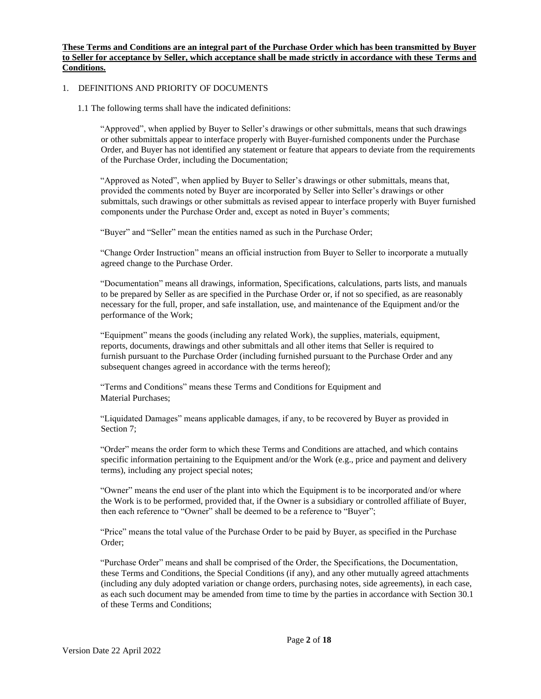#### **These Terms and Conditions are an integral part of the Purchase Order which has been transmitted by Buyer to Seller for acceptance by Seller, which acceptance shall be made strictly in accordance with these Terms and Conditions.**

### 1. DEFINITIONS AND PRIORITY OF DOCUMENTS

1.1 The following terms shall have the indicated definitions:

"Approved", when applied by Buyer to Seller's drawings or other submittals, means that such drawings or other submittals appear to interface properly with Buyer-furnished components under the Purchase Order, and Buyer has not identified any statement or feature that appears to deviate from the requirements of the Purchase Order, including the Documentation;

"Approved as Noted", when applied by Buyer to Seller's drawings or other submittals, means that, provided the comments noted by Buyer are incorporated by Seller into Seller's drawings or other submittals, such drawings or other submittals as revised appear to interface properly with Buyer furnished components under the Purchase Order and, except as noted in Buyer's comments;

"Buyer" and "Seller" mean the entities named as such in the Purchase Order;

"Change Order Instruction" means an official instruction from Buyer to Seller to incorporate a mutually agreed change to the Purchase Order.

"Documentation" means all drawings, information, Specifications, calculations, parts lists, and manuals to be prepared by Seller as are specified in the Purchase Order or, if not so specified, as are reasonably necessary for the full, proper, and safe installation, use, and maintenance of the Equipment and/or the performance of the Work;

"Equipment" means the goods (including any related Work), the supplies, materials, equipment, reports, documents, drawings and other submittals and all other items that Seller is required to furnish pursuant to the Purchase Order (including furnished pursuant to the Purchase Order and any subsequent changes agreed in accordance with the terms hereof);

"Terms and Conditions" means these Terms and Conditions for Equipment and Material Purchases;

"Liquidated Damages" means applicable damages, if any, to be recovered by Buyer as provided in Section 7;

"Order" means the order form to which these Terms and Conditions are attached, and which contains specific information pertaining to the Equipment and/or the Work (e.g., price and payment and delivery terms), including any project special notes;

"Owner" means the end user of the plant into which the Equipment is to be incorporated and/or where the Work is to be performed, provided that, if the Owner is a subsidiary or controlled affiliate of Buyer, then each reference to "Owner" shall be deemed to be a reference to "Buyer";

"Price" means the total value of the Purchase Order to be paid by Buyer, as specified in the Purchase Order;

"Purchase Order" means and shall be comprised of the Order, the Specifications, the Documentation, these Terms and Conditions, the Special Conditions (if any), and any other mutually agreed attachments (including any duly adopted variation or change orders, purchasing notes, side agreements), in each case, as each such document may be amended from time to time by the parties in accordance with Section 30.1 of these Terms and Conditions;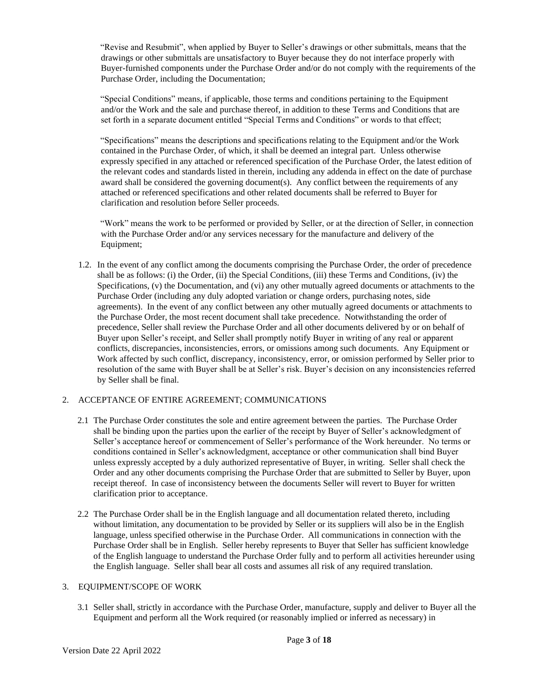"Revise and Resubmit", when applied by Buyer to Seller's drawings or other submittals, means that the drawings or other submittals are unsatisfactory to Buyer because they do not interface properly with Buyer-furnished components under the Purchase Order and/or do not comply with the requirements of the Purchase Order, including the Documentation;

"Special Conditions" means, if applicable, those terms and conditions pertaining to the Equipment and/or the Work and the sale and purchase thereof, in addition to these Terms and Conditions that are set forth in a separate document entitled "Special Terms and Conditions" or words to that effect;

"Specifications" means the descriptions and specifications relating to the Equipment and/or the Work contained in the Purchase Order, of which, it shall be deemed an integral part. Unless otherwise expressly specified in any attached or referenced specification of the Purchase Order, the latest edition of the relevant codes and standards listed in therein, including any addenda in effect on the date of purchase award shall be considered the governing document(s). Any conflict between the requirements of any attached or referenced specifications and other related documents shall be referred to Buyer for clarification and resolution before Seller proceeds.

"Work" means the work to be performed or provided by Seller, or at the direction of Seller, in connection with the Purchase Order and/or any services necessary for the manufacture and delivery of the Equipment;

1.2. In the event of any conflict among the documents comprising the Purchase Order, the order of precedence shall be as follows: (i) the Order, (ii) the Special Conditions, (iii) these Terms and Conditions, (iv) the Specifications, (v) the Documentation, and (vi) any other mutually agreed documents or attachments to the Purchase Order (including any duly adopted variation or change orders, purchasing notes, side agreements). In the event of any conflict between any other mutually agreed documents or attachments to the Purchase Order, the most recent document shall take precedence. Notwithstanding the order of precedence, Seller shall review the Purchase Order and all other documents delivered by or on behalf of Buyer upon Seller's receipt, and Seller shall promptly notify Buyer in writing of any real or apparent conflicts, discrepancies, inconsistencies, errors, or omissions among such documents. Any Equipment or Work affected by such conflict, discrepancy, inconsistency, error, or omission performed by Seller prior to resolution of the same with Buyer shall be at Seller's risk. Buyer's decision on any inconsistencies referred by Seller shall be final.

# 2. ACCEPTANCE OF ENTIRE AGREEMENT; COMMUNICATIONS

- 2.1 The Purchase Order constitutes the sole and entire agreement between the parties. The Purchase Order shall be binding upon the parties upon the earlier of the receipt by Buyer of Seller's acknowledgment of Seller's acceptance hereof or commencement of Seller's performance of the Work hereunder. No terms or conditions contained in Seller's acknowledgment, acceptance or other communication shall bind Buyer unless expressly accepted by a duly authorized representative of Buyer, in writing. Seller shall check the Order and any other documents comprising the Purchase Order that are submitted to Seller by Buyer, upon receipt thereof. In case of inconsistency between the documents Seller will revert to Buyer for written clarification prior to acceptance.
- 2.2 The Purchase Order shall be in the English language and all documentation related thereto, including without limitation, any documentation to be provided by Seller or its suppliers will also be in the English language, unless specified otherwise in the Purchase Order. All communications in connection with the Purchase Order shall be in English. Seller hereby represents to Buyer that Seller has sufficient knowledge of the English language to understand the Purchase Order fully and to perform all activities hereunder using the English language. Seller shall bear all costs and assumes all risk of any required translation.

# 3. EQUIPMENT/SCOPE OF WORK

3.1 Seller shall, strictly in accordance with the Purchase Order, manufacture, supply and deliver to Buyer all the Equipment and perform all the Work required (or reasonably implied or inferred as necessary) in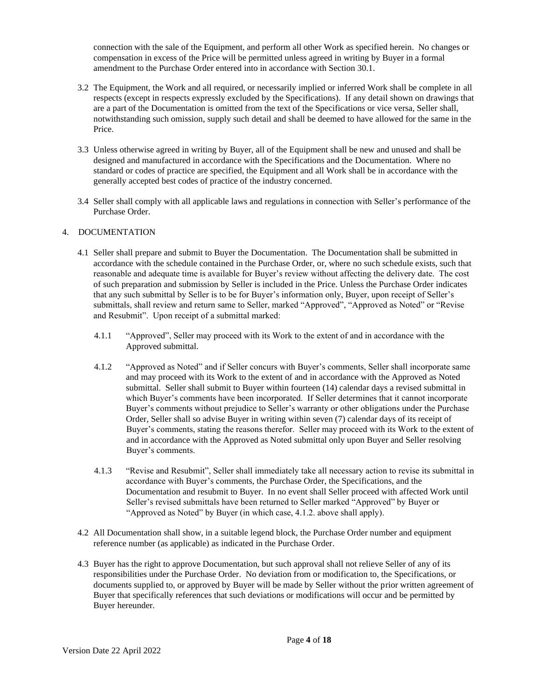connection with the sale of the Equipment, and perform all other Work as specified herein. No changes or compensation in excess of the Price will be permitted unless agreed in writing by Buyer in a formal amendment to the Purchase Order entered into in accordance with Section 30.1.

- 3.2 The Equipment, the Work and all required, or necessarily implied or inferred Work shall be complete in all respects (except in respects expressly excluded by the Specifications). If any detail shown on drawings that are a part of the Documentation is omitted from the text of the Specifications or vice versa, Seller shall, notwithstanding such omission, supply such detail and shall be deemed to have allowed for the same in the Price.
- 3.3 Unless otherwise agreed in writing by Buyer, all of the Equipment shall be new and unused and shall be designed and manufactured in accordance with the Specifications and the Documentation. Where no standard or codes of practice are specified, the Equipment and all Work shall be in accordance with the generally accepted best codes of practice of the industry concerned.
- 3.4 Seller shall comply with all applicable laws and regulations in connection with Seller's performance of the Purchase Order.

# 4. DOCUMENTATION

- 4.1 Seller shall prepare and submit to Buyer the Documentation. The Documentation shall be submitted in accordance with the schedule contained in the Purchase Order, or, where no such schedule exists, such that reasonable and adequate time is available for Buyer's review without affecting the delivery date. The cost of such preparation and submission by Seller is included in the Price. Unless the Purchase Order indicates that any such submittal by Seller is to be for Buyer's information only, Buyer, upon receipt of Seller's submittals, shall review and return same to Seller, marked "Approved", "Approved as Noted" or "Revise and Resubmit". Upon receipt of a submittal marked:
	- 4.1.1 "Approved", Seller may proceed with its Work to the extent of and in accordance with the Approved submittal.
	- 4.1.2 "Approved as Noted" and if Seller concurs with Buyer's comments, Seller shall incorporate same and may proceed with its Work to the extent of and in accordance with the Approved as Noted submittal. Seller shall submit to Buyer within fourteen (14) calendar days a revised submittal in which Buyer's comments have been incorporated. If Seller determines that it cannot incorporate Buyer's comments without prejudice to Seller's warranty or other obligations under the Purchase Order, Seller shall so advise Buyer in writing within seven (7) calendar days of its receipt of Buyer's comments, stating the reasons therefor. Seller may proceed with its Work to the extent of and in accordance with the Approved as Noted submittal only upon Buyer and Seller resolving Buyer's comments.
	- 4.1.3 "Revise and Resubmit", Seller shall immediately take all necessary action to revise its submittal in accordance with Buyer's comments, the Purchase Order, the Specifications, and the Documentation and resubmit to Buyer. In no event shall Seller proceed with affected Work until Seller's revised submittals have been returned to Seller marked "Approved" by Buyer or "Approved as Noted" by Buyer (in which case, 4.1.2. above shall apply).
- 4.2 All Documentation shall show, in a suitable legend block, the Purchase Order number and equipment reference number (as applicable) as indicated in the Purchase Order.
- 4.3 Buyer has the right to approve Documentation, but such approval shall not relieve Seller of any of its responsibilities under the Purchase Order. No deviation from or modification to, the Specifications, or documents supplied to, or approved by Buyer will be made by Seller without the prior written agreement of Buyer that specifically references that such deviations or modifications will occur and be permitted by Buyer hereunder.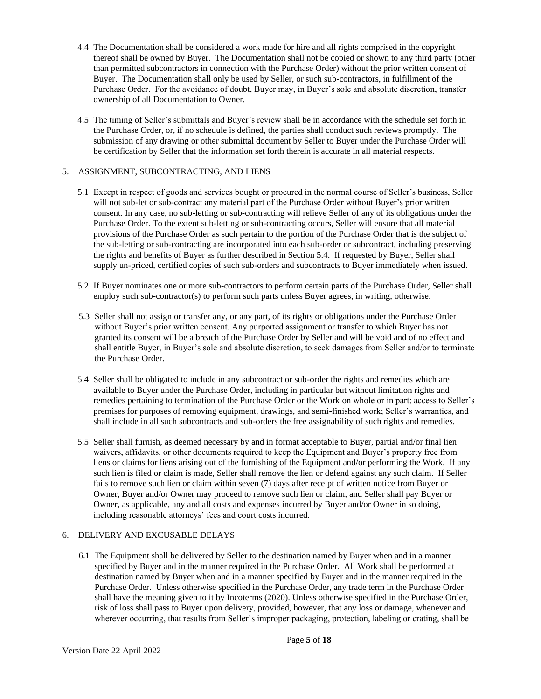- 4.4 The Documentation shall be considered a work made for hire and all rights comprised in the copyright thereof shall be owned by Buyer. The Documentation shall not be copied or shown to any third party (other than permitted subcontractors in connection with the Purchase Order) without the prior written consent of Buyer. The Documentation shall only be used by Seller, or such sub-contractors, in fulfillment of the Purchase Order. For the avoidance of doubt, Buyer may, in Buyer's sole and absolute discretion, transfer ownership of all Documentation to Owner.
- 4.5 The timing of Seller's submittals and Buyer's review shall be in accordance with the schedule set forth in the Purchase Order, or, if no schedule is defined, the parties shall conduct such reviews promptly. The submission of any drawing or other submittal document by Seller to Buyer under the Purchase Order will be certification by Seller that the information set forth therein is accurate in all material respects.

### 5. ASSIGNMENT, SUBCONTRACTING, AND LIENS

- 5.1 Except in respect of goods and services bought or procured in the normal course of Seller's business, Seller will not sub-let or sub-contract any material part of the Purchase Order without Buyer's prior written consent. In any case, no sub-letting or sub-contracting will relieve Seller of any of its obligations under the Purchase Order. To the extent sub-letting or sub-contracting occurs, Seller will ensure that all material provisions of the Purchase Order as such pertain to the portion of the Purchase Order that is the subject of the sub-letting or sub-contracting are incorporated into each sub-order or subcontract, including preserving the rights and benefits of Buyer as further described in Section 5.4. If requested by Buyer, Seller shall supply un-priced, certified copies of such sub-orders and subcontracts to Buyer immediately when issued.
- 5.2 If Buyer nominates one or more sub-contractors to perform certain parts of the Purchase Order, Seller shall employ such sub-contractor(s) to perform such parts unless Buyer agrees, in writing, otherwise.
- 5.3 Seller shall not assign or transfer any, or any part, of its rights or obligations under the Purchase Order without Buyer's prior written consent. Any purported assignment or transfer to which Buyer has not granted its consent will be a breach of the Purchase Order by Seller and will be void and of no effect and shall entitle Buyer, in Buyer's sole and absolute discretion, to seek damages from Seller and/or to terminate the Purchase Order.
- 5.4 Seller shall be obligated to include in any subcontract or sub-order the rights and remedies which are available to Buyer under the Purchase Order, including in particular but without limitation rights and remedies pertaining to termination of the Purchase Order or the Work on whole or in part; access to Seller's premises for purposes of removing equipment, drawings, and semi-finished work; Seller's warranties, and shall include in all such subcontracts and sub-orders the free assignability of such rights and remedies.
- 5.5 Seller shall furnish, as deemed necessary by and in format acceptable to Buyer, partial and/or final lien waivers, affidavits, or other documents required to keep the Equipment and Buyer's property free from liens or claims for liens arising out of the furnishing of the Equipment and/or performing the Work. If any such lien is filed or claim is made, Seller shall remove the lien or defend against any such claim. If Seller fails to remove such lien or claim within seven (7) days after receipt of written notice from Buyer or Owner, Buyer and/or Owner may proceed to remove such lien or claim, and Seller shall pay Buyer or Owner, as applicable, any and all costs and expenses incurred by Buyer and/or Owner in so doing, including reasonable attorneys' fees and court costs incurred.

# 6. DELIVERY AND EXCUSABLE DELAYS

6.1 The Equipment shall be delivered by Seller to the destination named by Buyer when and in a manner specified by Buyer and in the manner required in the Purchase Order. All Work shall be performed at destination named by Buyer when and in a manner specified by Buyer and in the manner required in the Purchase Order. Unless otherwise specified in the Purchase Order, any trade term in the Purchase Order shall have the meaning given to it by Incoterms (2020). Unless otherwise specified in the Purchase Order, risk of loss shall pass to Buyer upon delivery, provided, however, that any loss or damage, whenever and wherever occurring, that results from Seller's improper packaging, protection, labeling or crating, shall be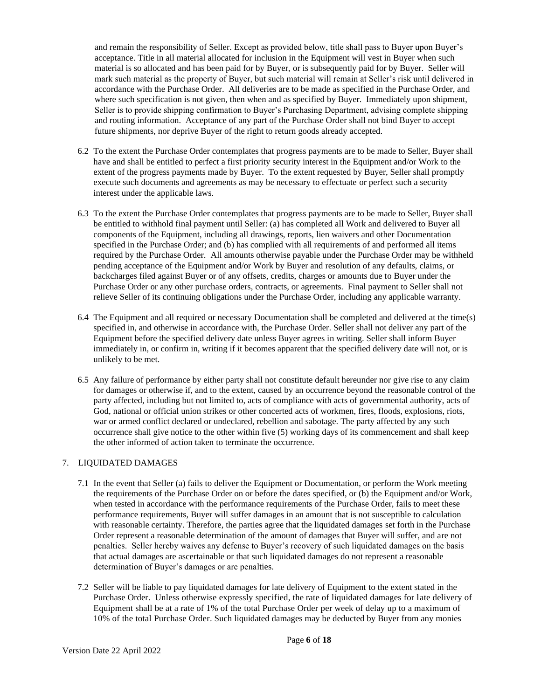and remain the responsibility of Seller. Except as provided below, title shall pass to Buyer upon Buyer's acceptance. Title in all material allocated for inclusion in the Equipment will vest in Buyer when such material is so allocated and has been paid for by Buyer, or is subsequently paid for by Buyer. Seller will mark such material as the property of Buyer, but such material will remain at Seller's risk until delivered in accordance with the Purchase Order. All deliveries are to be made as specified in the Purchase Order, and where such specification is not given, then when and as specified by Buyer. Immediately upon shipment, Seller is to provide shipping confirmation to Buyer's Purchasing Department, advising complete shipping and routing information. Acceptance of any part of the Purchase Order shall not bind Buyer to accept future shipments, nor deprive Buyer of the right to return goods already accepted.

- 6.2 To the extent the Purchase Order contemplates that progress payments are to be made to Seller, Buyer shall have and shall be entitled to perfect a first priority security interest in the Equipment and/or Work to the extent of the progress payments made by Buyer. To the extent requested by Buyer, Seller shall promptly execute such documents and agreements as may be necessary to effectuate or perfect such a security interest under the applicable laws.
- 6.3 To the extent the Purchase Order contemplates that progress payments are to be made to Seller, Buyer shall be entitled to withhold final payment until Seller: (a) has completed all Work and delivered to Buyer all components of the Equipment, including all drawings, reports, lien waivers and other Documentation specified in the Purchase Order; and (b) has complied with all requirements of and performed all items required by the Purchase Order. All amounts otherwise payable under the Purchase Order may be withheld pending acceptance of the Equipment and/or Work by Buyer and resolution of any defaults, claims, or backcharges filed against Buyer or of any offsets, credits, charges or amounts due to Buyer under the Purchase Order or any other purchase orders, contracts, or agreements. Final payment to Seller shall not relieve Seller of its continuing obligations under the Purchase Order, including any applicable warranty.
- 6.4 The Equipment and all required or necessary Documentation shall be completed and delivered at the time(s) specified in, and otherwise in accordance with, the Purchase Order. Seller shall not deliver any part of the Equipment before the specified delivery date unless Buyer agrees in writing. Seller shall inform Buyer immediately in, or confirm in, writing if it becomes apparent that the specified delivery date will not, or is unlikely to be met.
- 6.5 Any failure of performance by either party shall not constitute default hereunder nor give rise to any claim for damages or otherwise if, and to the extent, caused by an occurrence beyond the reasonable control of the party affected, including but not limited to, acts of compliance with acts of governmental authority, acts of God, national or official union strikes or other concerted acts of workmen, fires, floods, explosions, riots, war or armed conflict declared or undeclared, rebellion and sabotage. The party affected by any such occurrence shall give notice to the other within five (5) working days of its commencement and shall keep the other informed of action taken to terminate the occurrence.

# 7. LIQUIDATED DAMAGES

- 7.1 In the event that Seller (a) fails to deliver the Equipment or Documentation, or perform the Work meeting the requirements of the Purchase Order on or before the dates specified, or (b) the Equipment and/or Work, when tested in accordance with the performance requirements of the Purchase Order, fails to meet these performance requirements, Buyer will suffer damages in an amount that is not susceptible to calculation with reasonable certainty. Therefore, the parties agree that the liquidated damages set forth in the Purchase Order represent a reasonable determination of the amount of damages that Buyer will suffer, and are not penalties. Seller hereby waives any defense to Buyer's recovery of such liquidated damages on the basis that actual damages are ascertainable or that such liquidated damages do not represent a reasonable determination of Buyer's damages or are penalties.
- 7.2 Seller will be liable to pay liquidated damages for late delivery of Equipment to the extent stated in the Purchase Order. Unless otherwise expressly specified, the rate of liquidated damages for late delivery of Equipment shall be at a rate of 1% of the total Purchase Order per week of delay up to a maximum of 10% of the total Purchase Order. Such liquidated damages may be deducted by Buyer from any monies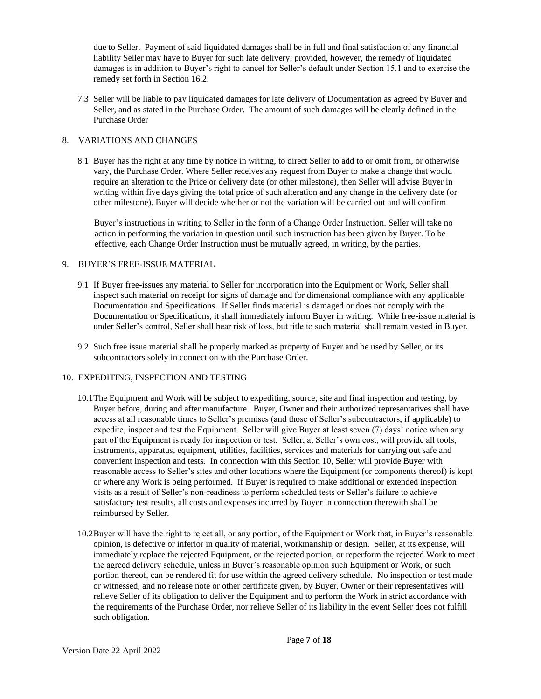due to Seller. Payment of said liquidated damages shall be in full and final satisfaction of any financial liability Seller may have to Buyer for such late delivery; provided, however, the remedy of liquidated damages is in addition to Buyer's right to cancel for Seller's default under Section 15.1 and to exercise the remedy set forth in Section 16.2.

7.3 Seller will be liable to pay liquidated damages for late delivery of Documentation as agreed by Buyer and Seller, and as stated in the Purchase Order. The amount of such damages will be clearly defined in the Purchase Order

# 8. VARIATIONS AND CHANGES

8.1 Buyer has the right at any time by notice in writing, to direct Seller to add to or omit from, or otherwise vary, the Purchase Order. Where Seller receives any request from Buyer to make a change that would require an alteration to the Price or delivery date (or other milestone), then Seller will advise Buyer in writing within five days giving the total price of such alteration and any change in the delivery date (or other milestone). Buyer will decide whether or not the variation will be carried out and will confirm

Buyer's instructions in writing to Seller in the form of a Change Order Instruction. Seller will take no action in performing the variation in question until such instruction has been given by Buyer. To be effective, each Change Order Instruction must be mutually agreed, in writing, by the parties.

# 9. BUYER'S FREE-ISSUE MATERIAL

- 9.1 If Buyer free-issues any material to Seller for incorporation into the Equipment or Work, Seller shall inspect such material on receipt for signs of damage and for dimensional compliance with any applicable Documentation and Specifications. If Seller finds material is damaged or does not comply with the Documentation or Specifications, it shall immediately inform Buyer in writing. While free-issue material is under Seller's control, Seller shall bear risk of loss, but title to such material shall remain vested in Buyer.
- 9.2 Such free issue material shall be properly marked as property of Buyer and be used by Seller, or its subcontractors solely in connection with the Purchase Order.

# 10. EXPEDITING, INSPECTION AND TESTING

- 10.1The Equipment and Work will be subject to expediting, source, site and final inspection and testing, by Buyer before, during and after manufacture. Buyer, Owner and their authorized representatives shall have access at all reasonable times to Seller's premises (and those of Seller's subcontractors, if applicable) to expedite, inspect and test the Equipment. Seller will give Buyer at least seven (7) days' notice when any part of the Equipment is ready for inspection or test. Seller, at Seller's own cost, will provide all tools, instruments, apparatus, equipment, utilities, facilities, services and materials for carrying out safe and convenient inspection and tests. In connection with this Section 10, Seller will provide Buyer with reasonable access to Seller's sites and other locations where the Equipment (or components thereof) is kept or where any Work is being performed. If Buyer is required to make additional or extended inspection visits as a result of Seller's non-readiness to perform scheduled tests or Seller's failure to achieve satisfactory test results, all costs and expenses incurred by Buyer in connection therewith shall be reimbursed by Seller.
- 10.2Buyer will have the right to reject all, or any portion, of the Equipment or Work that, in Buyer's reasonable opinion, is defective or inferior in quality of material, workmanship or design. Seller, at its expense, will immediately replace the rejected Equipment, or the rejected portion, or reperform the rejected Work to meet the agreed delivery schedule, unless in Buyer's reasonable opinion such Equipment or Work, or such portion thereof, can be rendered fit for use within the agreed delivery schedule. No inspection or test made or witnessed, and no release note or other certificate given, by Buyer, Owner or their representatives will relieve Seller of its obligation to deliver the Equipment and to perform the Work in strict accordance with the requirements of the Purchase Order, nor relieve Seller of its liability in the event Seller does not fulfill such obligation.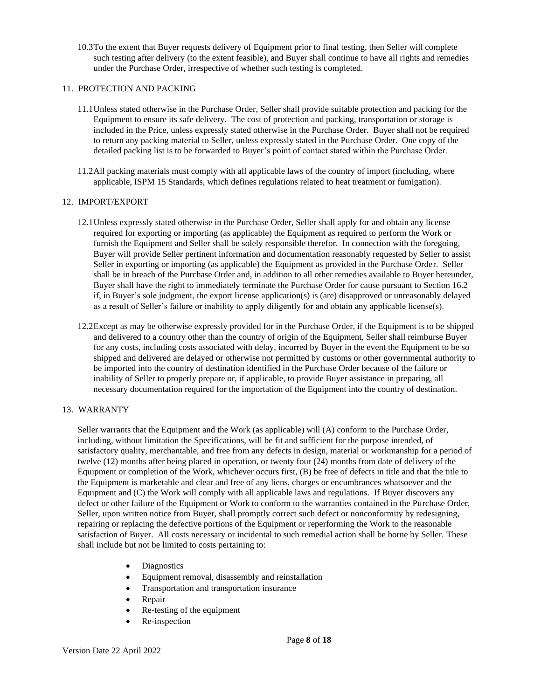10.3To the extent that Buyer requests delivery of Equipment prior to final testing, then Seller will complete such testing after delivery (to the extent feasible), and Buyer shall continue to have all rights and remedies under the Purchase Order, irrespective of whether such testing is completed.

### 11. PROTECTION AND PACKING

- 11.1Unless stated otherwise in the Purchase Order, Seller shall provide suitable protection and packing for the Equipment to ensure its safe delivery. The cost of protection and packing, transportation or storage is included in the Price, unless expressly stated otherwise in the Purchase Order. Buyer shall not be required to return any packing material to Seller, unless expressly stated in the Purchase Order. One copy of the detailed packing list is to be forwarded to Buyer's point of contact stated within the Purchase Order.
- 11.2All packing materials must comply with all applicable laws of the country of import (including, where applicable, ISPM 15 Standards, which defines regulations related to heat treatment or fumigation).

### 12. IMPORT/EXPORT

- 12.1Unless expressly stated otherwise in the Purchase Order, Seller shall apply for and obtain any license required for exporting or importing (as applicable) the Equipment as required to perform the Work or furnish the Equipment and Seller shall be solely responsible therefor. In connection with the foregoing, Buyer will provide Seller pertinent information and documentation reasonably requested by Seller to assist Seller in exporting or importing (as applicable) the Equipment as provided in the Purchase Order. Seller shall be in breach of the Purchase Order and, in addition to all other remedies available to Buyer hereunder, Buyer shall have the right to immediately terminate the Purchase Order for cause pursuant to Section 16.2 if, in Buyer's sole judgment, the export license application(s) is (are) disapproved or unreasonably delayed as a result of Seller's failure or inability to apply diligently for and obtain any applicable license(s).
- 12.2Except as may be otherwise expressly provided for in the Purchase Order, if the Equipment is to be shipped and delivered to a country other than the country of origin of the Equipment, Seller shall reimburse Buyer for any costs, including costs associated with delay, incurred by Buyer in the event the Equipment to be so shipped and delivered are delayed or otherwise not permitted by customs or other governmental authority to be imported into the country of destination identified in the Purchase Order because of the failure or inability of Seller to properly prepare or, if applicable, to provide Buyer assistance in preparing, all necessary documentation required for the importation of the Equipment into the country of destination.

# 13. WARRANTY

Seller warrants that the Equipment and the Work (as applicable) will (A) conform to the Purchase Order, including, without limitation the Specifications, will be fit and sufficient for the purpose intended, of satisfactory quality, merchantable, and free from any defects in design, material or workmanship for a period of twelve (12) months after being placed in operation, or twenty four (24) months from date of delivery of the Equipment or completion of the Work, whichever occurs first, (B) be free of defects in title and that the title to the Equipment is marketable and clear and free of any liens, charges or encumbrances whatsoever and the Equipment and (C) the Work will comply with all applicable laws and regulations. If Buyer discovers any defect or other failure of the Equipment or Work to conform to the warranties contained in the Purchase Order, Seller, upon written notice from Buyer, shall promptly correct such defect or nonconformity by redesigning, repairing or replacing the defective portions of the Equipment or reperforming the Work to the reasonable satisfaction of Buyer. All costs necessary or incidental to such remedial action shall be borne by Seller. These shall include but not be limited to costs pertaining to:

- Diagnostics
- Equipment removal, disassembly and reinstallation
- Transportation and transportation insurance
- Repair
- Re-testing of the equipment
- Re-inspection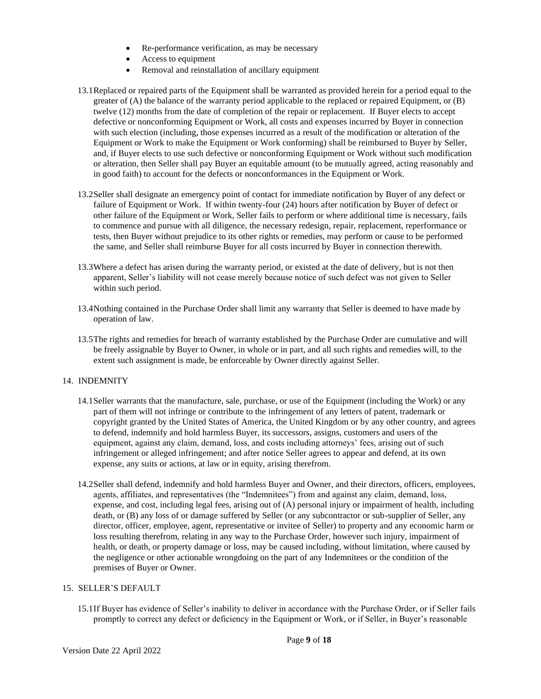- Re-performance verification, as may be necessary
- Access to equipment
- Removal and reinstallation of ancillary equipment
- 13.1Replaced or repaired parts of the Equipment shall be warranted as provided herein for a period equal to the greater of (A) the balance of the warranty period applicable to the replaced or repaired Equipment, or (B) twelve (12) months from the date of completion of the repair or replacement. If Buyer elects to accept defective or nonconforming Equipment or Work, all costs and expenses incurred by Buyer in connection with such election (including, those expenses incurred as a result of the modification or alteration of the Equipment or Work to make the Equipment or Work conforming) shall be reimbursed to Buyer by Seller, and, if Buyer elects to use such defective or nonconforming Equipment or Work without such modification or alteration, then Seller shall pay Buyer an equitable amount (to be mutually agreed, acting reasonably and in good faith) to account for the defects or nonconformances in the Equipment or Work.
- 13.2Seller shall designate an emergency point of contact for immediate notification by Buyer of any defect or failure of Equipment or Work. If within twenty-four (24) hours after notification by Buyer of defect or other failure of the Equipment or Work, Seller fails to perform or where additional time is necessary, fails to commence and pursue with all diligence, the necessary redesign, repair, replacement, reperformance or tests, then Buyer without prejudice to its other rights or remedies, may perform or cause to be performed the same, and Seller shall reimburse Buyer for all costs incurred by Buyer in connection therewith.
- 13.3Where a defect has arisen during the warranty period, or existed at the date of delivery, but is not then apparent, Seller's liability will not cease merely because notice of such defect was not given to Seller within such period.
- 13.4Nothing contained in the Purchase Order shall limit any warranty that Seller is deemed to have made by operation of law.
- 13.5The rights and remedies for breach of warranty established by the Purchase Order are cumulative and will be freely assignable by Buyer to Owner, in whole or in part, and all such rights and remedies will, to the extent such assignment is made, be enforceable by Owner directly against Seller.

#### 14. INDEMNITY

- 14.1Seller warrants that the manufacture, sale, purchase, or use of the Equipment (including the Work) or any part of them will not infringe or contribute to the infringement of any letters of patent, trademark or copyright granted by the United States of America, the United Kingdom or by any other country, and agrees to defend, indemnify and hold harmless Buyer, its successors, assigns, customers and users of the equipment, against any claim, demand, loss, and costs including attorneys' fees, arising out of such infringement or alleged infringement; and after notice Seller agrees to appear and defend, at its own expense, any suits or actions, at law or in equity, arising therefrom.
- 14.2Seller shall defend, indemnify and hold harmless Buyer and Owner, and their directors, officers, employees, agents, affiliates, and representatives (the "Indemnitees") from and against any claim, demand, loss, expense, and cost, including legal fees, arising out of (A) personal injury or impairment of health, including death, or (B) any loss of or damage suffered by Seller (or any subcontractor or sub-supplier of Seller, any director, officer, employee, agent, representative or invitee of Seller) to property and any economic harm or loss resulting therefrom, relating in any way to the Purchase Order, however such injury, impairment of health, or death, or property damage or loss, may be caused including, without limitation, where caused by the negligence or other actionable wrongdoing on the part of any Indemnitees or the condition of the premises of Buyer or Owner.

### 15. SELLER'S DEFAULT

Version Date 22 April 2022

15.1If Buyer has evidence of Seller's inability to deliver in accordance with the Purchase Order, or if Seller fails promptly to correct any defect or deficiency in the Equipment or Work, or if Seller, in Buyer's reasonable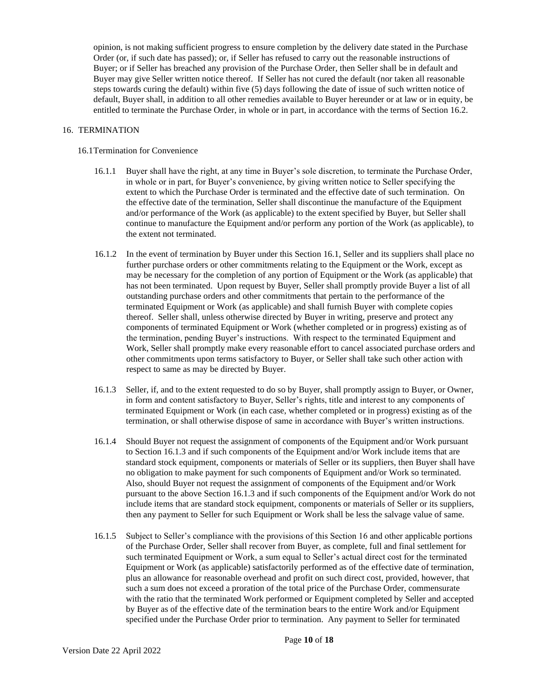opinion, is not making sufficient progress to ensure completion by the delivery date stated in the Purchase Order (or, if such date has passed); or, if Seller has refused to carry out the reasonable instructions of Buyer; or if Seller has breached any provision of the Purchase Order, then Seller shall be in default and Buyer may give Seller written notice thereof. If Seller has not cured the default (nor taken all reasonable steps towards curing the default) within five (5) days following the date of issue of such written notice of default, Buyer shall, in addition to all other remedies available to Buyer hereunder or at law or in equity, be entitled to terminate the Purchase Order, in whole or in part, in accordance with the terms of Section 16.2.

### 16. TERMINATION

### 16.1Termination for Convenience

- 16.1.1 Buyer shall have the right, at any time in Buyer's sole discretion, to terminate the Purchase Order, in whole or in part, for Buyer's convenience, by giving written notice to Seller specifying the extent to which the Purchase Order is terminated and the effective date of such termination. On the effective date of the termination, Seller shall discontinue the manufacture of the Equipment and/or performance of the Work (as applicable) to the extent specified by Buyer, but Seller shall continue to manufacture the Equipment and/or perform any portion of the Work (as applicable), to the extent not terminated.
- 16.1.2 In the event of termination by Buyer under this Section 16.1, Seller and its suppliers shall place no further purchase orders or other commitments relating to the Equipment or the Work, except as may be necessary for the completion of any portion of Equipment or the Work (as applicable) that has not been terminated. Upon request by Buyer, Seller shall promptly provide Buyer a list of all outstanding purchase orders and other commitments that pertain to the performance of the terminated Equipment or Work (as applicable) and shall furnish Buyer with complete copies thereof. Seller shall, unless otherwise directed by Buyer in writing, preserve and protect any components of terminated Equipment or Work (whether completed or in progress) existing as of the termination, pending Buyer's instructions. With respect to the terminated Equipment and Work, Seller shall promptly make every reasonable effort to cancel associated purchase orders and other commitments upon terms satisfactory to Buyer, or Seller shall take such other action with respect to same as may be directed by Buyer.
- 16.1.3 Seller, if, and to the extent requested to do so by Buyer, shall promptly assign to Buyer, or Owner, in form and content satisfactory to Buyer, Seller's rights, title and interest to any components of terminated Equipment or Work (in each case, whether completed or in progress) existing as of the termination, or shall otherwise dispose of same in accordance with Buyer's written instructions.
- 16.1.4 Should Buyer not request the assignment of components of the Equipment and/or Work pursuant to Section 16.1.3 and if such components of the Equipment and/or Work include items that are standard stock equipment, components or materials of Seller or its suppliers, then Buyer shall have no obligation to make payment for such components of Equipment and/or Work so terminated. Also, should Buyer not request the assignment of components of the Equipment and/or Work pursuant to the above Section 16.1.3 and if such components of the Equipment and/or Work do not include items that are standard stock equipment, components or materials of Seller or its suppliers, then any payment to Seller for such Equipment or Work shall be less the salvage value of same.
- 16.1.5 Subject to Seller's compliance with the provisions of this Section 16 and other applicable portions of the Purchase Order, Seller shall recover from Buyer, as complete, full and final settlement for such terminated Equipment or Work, a sum equal to Seller's actual direct cost for the terminated Equipment or Work (as applicable) satisfactorily performed as of the effective date of termination, plus an allowance for reasonable overhead and profit on such direct cost, provided, however, that such a sum does not exceed a proration of the total price of the Purchase Order, commensurate with the ratio that the terminated Work performed or Equipment completed by Seller and accepted by Buyer as of the effective date of the termination bears to the entire Work and/or Equipment specified under the Purchase Order prior to termination. Any payment to Seller for terminated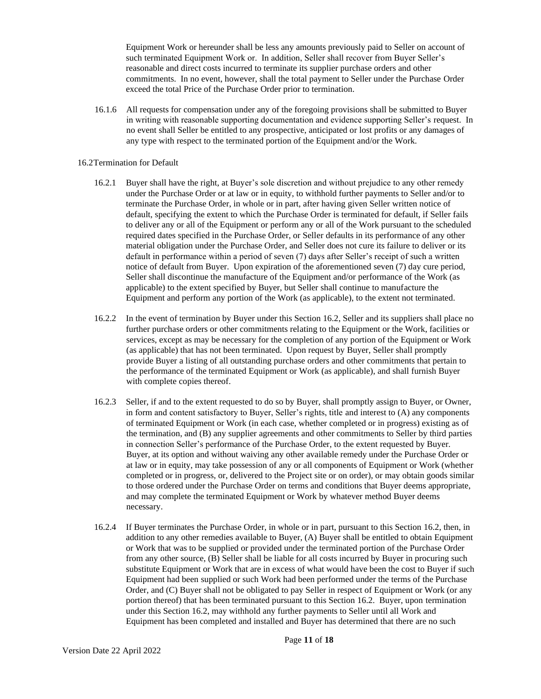Equipment Work or hereunder shall be less any amounts previously paid to Seller on account of such terminated Equipment Work or. In addition, Seller shall recover from Buyer Seller's reasonable and direct costs incurred to terminate its supplier purchase orders and other commitments. In no event, however, shall the total payment to Seller under the Purchase Order exceed the total Price of the Purchase Order prior to termination.

16.1.6 All requests for compensation under any of the foregoing provisions shall be submitted to Buyer in writing with reasonable supporting documentation and evidence supporting Seller's request. In no event shall Seller be entitled to any prospective, anticipated or lost profits or any damages of any type with respect to the terminated portion of the Equipment and/or the Work.

### 16.2Termination for Default

- 16.2.1 Buyer shall have the right, at Buyer's sole discretion and without prejudice to any other remedy under the Purchase Order or at law or in equity, to withhold further payments to Seller and/or to terminate the Purchase Order, in whole or in part, after having given Seller written notice of default, specifying the extent to which the Purchase Order is terminated for default, if Seller fails to deliver any or all of the Equipment or perform any or all of the Work pursuant to the scheduled required dates specified in the Purchase Order, or Seller defaults in its performance of any other material obligation under the Purchase Order, and Seller does not cure its failure to deliver or its default in performance within a period of seven (7) days after Seller's receipt of such a written notice of default from Buyer. Upon expiration of the aforementioned seven (7) day cure period, Seller shall discontinue the manufacture of the Equipment and/or performance of the Work (as applicable) to the extent specified by Buyer, but Seller shall continue to manufacture the Equipment and perform any portion of the Work (as applicable), to the extent not terminated.
- 16.2.2 In the event of termination by Buyer under this Section 16.2, Seller and its suppliers shall place no further purchase orders or other commitments relating to the Equipment or the Work, facilities or services, except as may be necessary for the completion of any portion of the Equipment or Work (as applicable) that has not been terminated. Upon request by Buyer, Seller shall promptly provide Buyer a listing of all outstanding purchase orders and other commitments that pertain to the performance of the terminated Equipment or Work (as applicable), and shall furnish Buyer with complete copies thereof.
- 16.2.3 Seller, if and to the extent requested to do so by Buyer, shall promptly assign to Buyer, or Owner, in form and content satisfactory to Buyer, Seller's rights, title and interest to (A) any components of terminated Equipment or Work (in each case, whether completed or in progress) existing as of the termination, and (B) any supplier agreements and other commitments to Seller by third parties in connection Seller's performance of the Purchase Order, to the extent requested by Buyer. Buyer, at its option and without waiving any other available remedy under the Purchase Order or at law or in equity, may take possession of any or all components of Equipment or Work (whether completed or in progress, or, delivered to the Project site or on order), or may obtain goods similar to those ordered under the Purchase Order on terms and conditions that Buyer deems appropriate, and may complete the terminated Equipment or Work by whatever method Buyer deems necessary.
- 16.2.4 If Buyer terminates the Purchase Order, in whole or in part, pursuant to this Section 16.2, then, in addition to any other remedies available to Buyer, (A) Buyer shall be entitled to obtain Equipment or Work that was to be supplied or provided under the terminated portion of the Purchase Order from any other source, (B) Seller shall be liable for all costs incurred by Buyer in procuring such substitute Equipment or Work that are in excess of what would have been the cost to Buyer if such Equipment had been supplied or such Work had been performed under the terms of the Purchase Order, and (C) Buyer shall not be obligated to pay Seller in respect of Equipment or Work (or any portion thereof) that has been terminated pursuant to this Section 16.2. Buyer, upon termination under this Section 16.2, may withhold any further payments to Seller until all Work and Equipment has been completed and installed and Buyer has determined that there are no such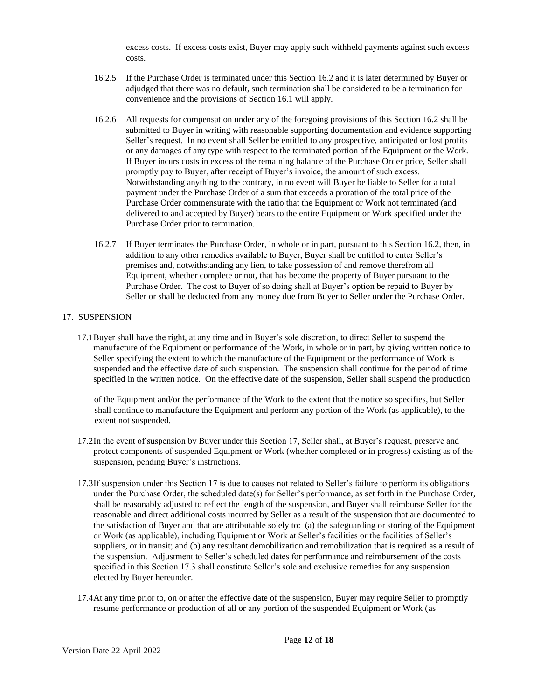excess costs. If excess costs exist, Buyer may apply such withheld payments against such excess costs.

- 16.2.5 If the Purchase Order is terminated under this Section 16.2 and it is later determined by Buyer or adjudged that there was no default, such termination shall be considered to be a termination for convenience and the provisions of Section 16.1 will apply.
- 16.2.6 All requests for compensation under any of the foregoing provisions of this Section 16.2 shall be submitted to Buyer in writing with reasonable supporting documentation and evidence supporting Seller's request. In no event shall Seller be entitled to any prospective, anticipated or lost profits or any damages of any type with respect to the terminated portion of the Equipment or the Work. If Buyer incurs costs in excess of the remaining balance of the Purchase Order price, Seller shall promptly pay to Buyer, after receipt of Buyer's invoice, the amount of such excess. Notwithstanding anything to the contrary, in no event will Buyer be liable to Seller for a total payment under the Purchase Order of a sum that exceeds a proration of the total price of the Purchase Order commensurate with the ratio that the Equipment or Work not terminated (and delivered to and accepted by Buyer) bears to the entire Equipment or Work specified under the Purchase Order prior to termination.
- 16.2.7 If Buyer terminates the Purchase Order, in whole or in part, pursuant to this Section 16.2, then, in addition to any other remedies available to Buyer, Buyer shall be entitled to enter Seller's premises and, notwithstanding any lien, to take possession of and remove therefrom all Equipment, whether complete or not, that has become the property of Buyer pursuant to the Purchase Order. The cost to Buyer of so doing shall at Buyer's option be repaid to Buyer by Seller or shall be deducted from any money due from Buyer to Seller under the Purchase Order.

# 17. SUSPENSION

17.1Buyer shall have the right, at any time and in Buyer's sole discretion, to direct Seller to suspend the manufacture of the Equipment or performance of the Work, in whole or in part, by giving written notice to Seller specifying the extent to which the manufacture of the Equipment or the performance of Work is suspended and the effective date of such suspension. The suspension shall continue for the period of time specified in the written notice. On the effective date of the suspension, Seller shall suspend the production

of the Equipment and/or the performance of the Work to the extent that the notice so specifies, but Seller shall continue to manufacture the Equipment and perform any portion of the Work (as applicable), to the extent not suspended.

- 17.2In the event of suspension by Buyer under this Section 17, Seller shall, at Buyer's request, preserve and protect components of suspended Equipment or Work (whether completed or in progress) existing as of the suspension, pending Buyer's instructions.
- 17.3If suspension under this Section 17 is due to causes not related to Seller's failure to perform its obligations under the Purchase Order, the scheduled date(s) for Seller's performance, as set forth in the Purchase Order, shall be reasonably adjusted to reflect the length of the suspension, and Buyer shall reimburse Seller for the reasonable and direct additional costs incurred by Seller as a result of the suspension that are documented to the satisfaction of Buyer and that are attributable solely to: (a) the safeguarding or storing of the Equipment or Work (as applicable), including Equipment or Work at Seller's facilities or the facilities of Seller's suppliers, or in transit; and (b) any resultant demobilization and remobilization that is required as a result of the suspension. Adjustment to Seller's scheduled dates for performance and reimbursement of the costs specified in this Section 17.3 shall constitute Seller's sole and exclusive remedies for any suspension elected by Buyer hereunder.
- 17.4At any time prior to, on or after the effective date of the suspension, Buyer may require Seller to promptly resume performance or production of all or any portion of the suspended Equipment or Work (as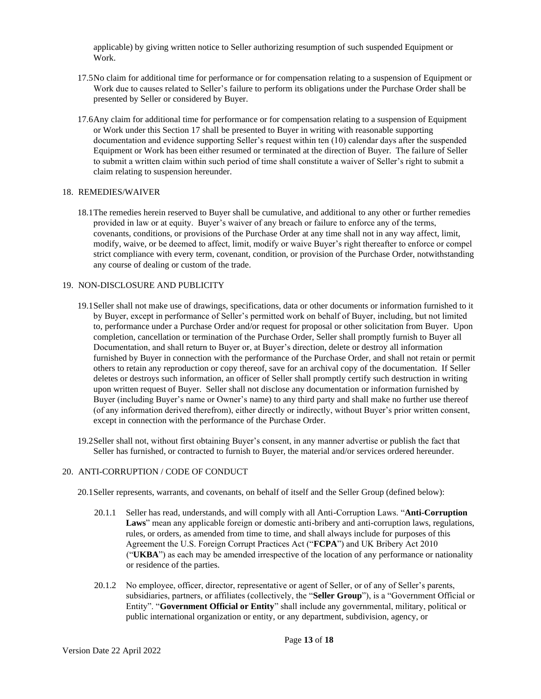applicable) by giving written notice to Seller authorizing resumption of such suspended Equipment or Work.

- 17.5No claim for additional time for performance or for compensation relating to a suspension of Equipment or Work due to causes related to Seller's failure to perform its obligations under the Purchase Order shall be presented by Seller or considered by Buyer.
- 17.6Any claim for additional time for performance or for compensation relating to a suspension of Equipment or Work under this Section 17 shall be presented to Buyer in writing with reasonable supporting documentation and evidence supporting Seller's request within ten (10) calendar days after the suspended Equipment or Work has been either resumed or terminated at the direction of Buyer. The failure of Seller to submit a written claim within such period of time shall constitute a waiver of Seller's right to submit a claim relating to suspension hereunder.

#### 18. REMEDIES/WAIVER

18.1The remedies herein reserved to Buyer shall be cumulative, and additional to any other or further remedies provided in law or at equity. Buyer's waiver of any breach or failure to enforce any of the terms, covenants, conditions, or provisions of the Purchase Order at any time shall not in any way affect, limit, modify, waive, or be deemed to affect, limit, modify or waive Buyer's right thereafter to enforce or compel strict compliance with every term, covenant, condition, or provision of the Purchase Order, notwithstanding any course of dealing or custom of the trade.

# 19. NON-DISCLOSURE AND PUBLICITY

- 19.1Seller shall not make use of drawings, specifications, data or other documents or information furnished to it by Buyer, except in performance of Seller's permitted work on behalf of Buyer, including, but not limited to, performance under a Purchase Order and/or request for proposal or other solicitation from Buyer. Upon completion, cancellation or termination of the Purchase Order, Seller shall promptly furnish to Buyer all Documentation, and shall return to Buyer or, at Buyer's direction, delete or destroy all information furnished by Buyer in connection with the performance of the Purchase Order, and shall not retain or permit others to retain any reproduction or copy thereof, save for an archival copy of the documentation. If Seller deletes or destroys such information, an officer of Seller shall promptly certify such destruction in writing upon written request of Buyer. Seller shall not disclose any documentation or information furnished by Buyer (including Buyer's name or Owner's name) to any third party and shall make no further use thereof (of any information derived therefrom), either directly or indirectly, without Buyer's prior written consent, except in connection with the performance of the Purchase Order.
- 19.2Seller shall not, without first obtaining Buyer's consent, in any manner advertise or publish the fact that Seller has furnished, or contracted to furnish to Buyer, the material and/or services ordered hereunder.

#### 20. ANTI-CORRUPTION / CODE OF CONDUCT

- 20.1Seller represents, warrants, and covenants, on behalf of itself and the Seller Group (defined below):
	- 20.1.1 Seller has read, understands, and will comply with all Anti-Corruption Laws. "**Anti-Corruption Laws**" mean any applicable foreign or domestic anti-bribery and anti-corruption laws, regulations, rules, or orders, as amended from time to time, and shall always include for purposes of this Agreement the U.S. Foreign Corrupt Practices Act ("**FCPA**") and UK Bribery Act 2010 ("**UKBA**") as each may be amended irrespective of the location of any performance or nationality or residence of the parties.
	- 20.1.2 No employee, officer, director, representative or agent of Seller, or of any of Seller's parents, subsidiaries, partners, or affiliates (collectively, the "**Seller Group**"), is a "Government Official or Entity". "**Government Official or Entity**" shall include any governmental, military, political or public international organization or entity, or any department, subdivision, agency, or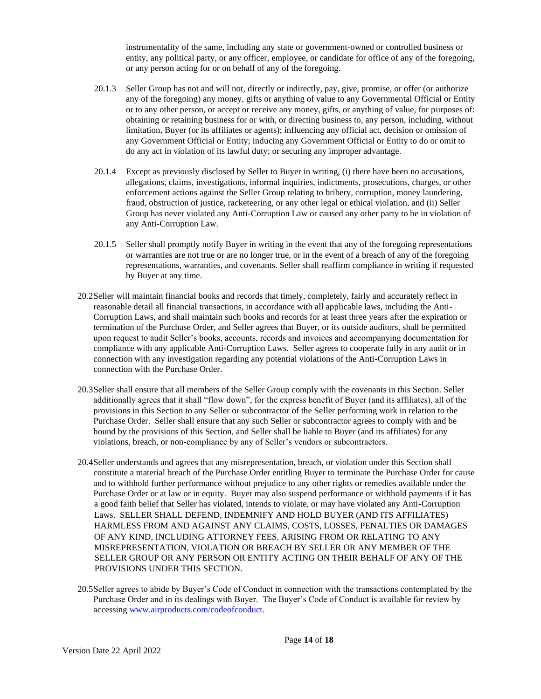instrumentality of the same, including any state or government-owned or controlled business or entity, any political party, or any officer, employee, or candidate for office of any of the foregoing, or any person acting for or on behalf of any of the foregoing.

- 20.1.3 Seller Group has not and will not, directly or indirectly, pay, give, promise, or offer (or authorize any of the foregoing) any money, gifts or anything of value to any Governmental Official or Entity or to any other person, or accept or receive any money, gifts, or anything of value, for purposes of: obtaining or retaining business for or with, or directing business to, any person, including, without limitation, Buyer (or its affiliates or agents); influencing any official act, decision or omission of any Government Official or Entity; inducing any Government Official or Entity to do or omit to do any act in violation of its lawful duty; or securing any improper advantage.
- 20.1.4 Except as previously disclosed by Seller to Buyer in writing, (i) there have been no accusations, allegations, claims, investigations, informal inquiries, indictments, prosecutions, charges, or other enforcement actions against the Seller Group relating to bribery, corruption, money laundering, fraud, obstruction of justice, racketeering, or any other legal or ethical violation, and (ii) Seller Group has never violated any Anti-Corruption Law or caused any other party to be in violation of any Anti-Corruption Law.
- 20.1.5 Seller shall promptly notify Buyer in writing in the event that any of the foregoing representations or warranties are not true or are no longer true, or in the event of a breach of any of the foregoing representations, warranties, and covenants. Seller shall reaffirm compliance in writing if requested by Buyer at any time.
- 20.2Seller will maintain financial books and records that timely, completely, fairly and accurately reflect in reasonable detail all financial transactions, in accordance with all applicable laws, including the Anti-Corruption Laws, and shall maintain such books and records for at least three years after the expiration or termination of the Purchase Order, and Seller agrees that Buyer, or its outside auditors, shall be permitted upon request to audit Seller's books, accounts, records and invoices and accompanying documentation for compliance with any applicable Anti-Corruption Laws. Seller agrees to cooperate fully in any audit or in connection with any investigation regarding any potential violations of the Anti-Corruption Laws in connection with the Purchase Order.
- 20.3Seller shall ensure that all members of the Seller Group comply with the covenants in this Section. Seller additionally agrees that it shall "flow down", for the express benefit of Buyer (and its affiliates), all of the provisions in this Section to any Seller or subcontractor of the Seller performing work in relation to the Purchase Order. Seller shall ensure that any such Seller or subcontractor agrees to comply with and be bound by the provisions of this Section, and Seller shall be liable to Buyer (and its affiliates) for any violations, breach, or non-compliance by any of Seller's vendors or subcontractors.
- 20.4Seller understands and agrees that any misrepresentation, breach, or violation under this Section shall constitute a material breach of the Purchase Order entitling Buyer to terminate the Purchase Order for cause and to withhold further performance without prejudice to any other rights or remedies available under the Purchase Order or at law or in equity. Buyer may also suspend performance or withhold payments if it has a good faith belief that Seller has violated, intends to violate, or may have violated any Anti-Corruption Laws. SELLER SHALL DEFEND, INDEMNIFY AND HOLD BUYER (AND ITS AFFILIATES) HARMLESS FROM AND AGAINST ANY CLAIMS, COSTS, LOSSES, PENALTIES OR DAMAGES OF ANY KIND, INCLUDING ATTORNEY FEES, ARISING FROM OR RELATING TO ANY MISREPRESENTATION, VIOLATION OR BREACH BY SELLER OR ANY MEMBER OF THE SELLER GROUP OR ANY PERSON OR ENTITY ACTING ON THEIR BEHALF OF ANY OF THE PROVISIONS UNDER THIS SECTION.
- 20.5Seller agrees to abide by Buyer's Code of Conduct in connection with the transactions contemplated by the Purchase Order and in its dealings with Buyer. The Buyer's Code of Conduct is available for review by accessin[g www.airproducts.com/codeofconduct.](http://www.airproducts.com/codeofconduct.)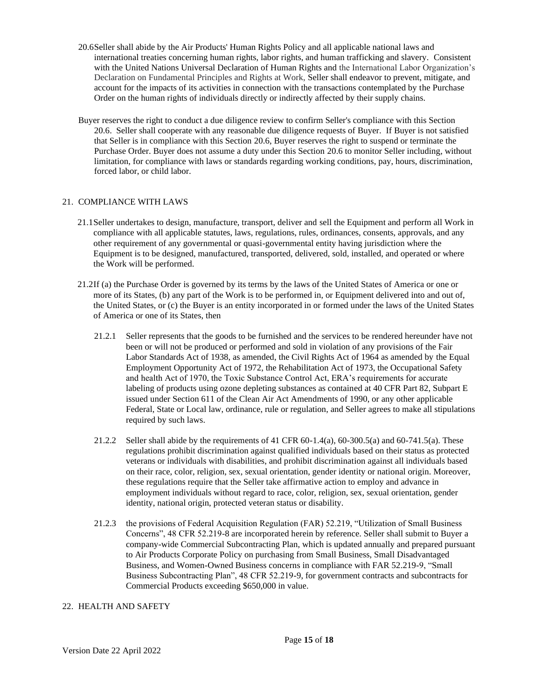- 20.6Seller shall abide by the Air Products' Human Rights Policy and all applicable national laws and international treaties concerning human rights, labor rights, and human trafficking and slavery. Consistent with the United Nations Universal Declaration of Human Rights and the International Labor Organization's Declaration on Fundamental Principles and Rights at Work, Seller shall endeavor to prevent, mitigate, and account for the impacts of its activities in connection with the transactions contemplated by the Purchase Order on the human rights of individuals directly or indirectly affected by their supply chains.
- Buyer reserves the right to conduct a due diligence review to confirm Seller's compliance with this Section 20.6. Seller shall cooperate with any reasonable due diligence requests of Buyer. If Buyer is not satisfied that Seller is in compliance with this Section 20.6, Buyer reserves the right to suspend or terminate the Purchase Order. Buyer does not assume a duty under this Section 20.6 to monitor Seller including, without limitation, for compliance with laws or standards regarding working conditions, pay, hours, discrimination, forced labor, or child labor.

# 21. COMPLIANCE WITH LAWS

- 21.1Seller undertakes to design, manufacture, transport, deliver and sell the Equipment and perform all Work in compliance with all applicable statutes, laws, regulations, rules, ordinances, consents, approvals, and any other requirement of any governmental or quasi-governmental entity having jurisdiction where the Equipment is to be designed, manufactured, transported, delivered, sold, installed, and operated or where the Work will be performed.
- 21.2If (a) the Purchase Order is governed by its terms by the laws of the United States of America or one or more of its States, (b) any part of the Work is to be performed in, or Equipment delivered into and out of, the United States, or (c) the Buyer is an entity incorporated in or formed under the laws of the United States of America or one of its States, then
	- 21.2.1 Seller represents that the goods to be furnished and the services to be rendered hereunder have not been or will not be produced or performed and sold in violation of any provisions of the Fair Labor Standards Act of 1938, as amended, the Civil Rights Act of 1964 as amended by the Equal Employment Opportunity Act of 1972, the Rehabilitation Act of 1973, the Occupational Safety and health Act of 1970, the Toxic Substance Control Act, ERA's requirements for accurate labeling of products using ozone depleting substances as contained at 40 CFR Part 82, Subpart E issued under Section 611 of the Clean Air Act Amendments of 1990, or any other applicable Federal, State or Local law, ordinance, rule or regulation, and Seller agrees to make all stipulations required by such laws.
	- 21.2.2 Seller shall abide by the requirements of 41 CFR 60-1.4(a), 60-300.5(a) and 60-741.5(a). These regulations prohibit discrimination against qualified individuals based on their status as protected veterans or individuals with disabilities, and prohibit discrimination against all individuals based on their race, color, religion, sex, sexual orientation, gender identity or national origin. Moreover, these regulations require that the Seller take affirmative action to employ and advance in employment individuals without regard to race, color, religion, sex, sexual orientation, gender identity, national origin, protected veteran status or disability.
	- 21.2.3 the provisions of Federal Acquisition Regulation (FAR) 52.219, "Utilization of Small Business Concerns", 48 CFR 52.219-8 are incorporated herein by reference. Seller shall submit to Buyer a company-wide Commercial Subcontracting Plan, which is updated annually and prepared pursuant to Air Products Corporate Policy on purchasing from Small Business, Small Disadvantaged Business, and Women-Owned Business concerns in compliance with FAR 52.219-9, "Small Business Subcontracting Plan", 48 CFR 52.219-9, for government contracts and subcontracts for Commercial Products exceeding \$650,000 in value.

# 22. HEALTH AND SAFETY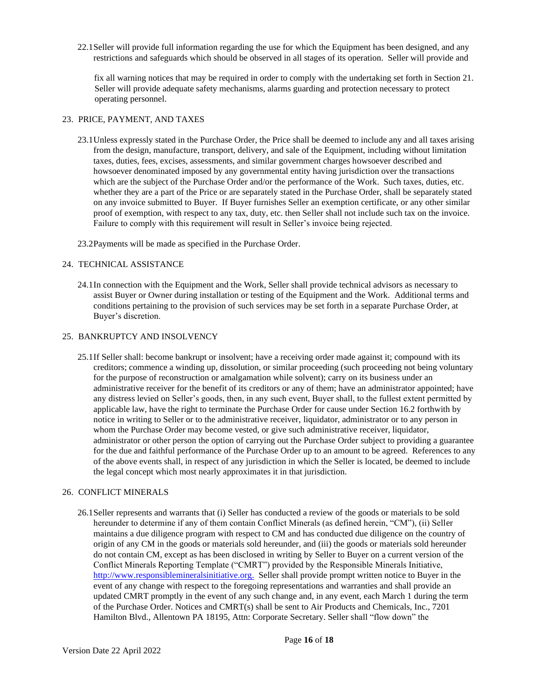22.1Seller will provide full information regarding the use for which the Equipment has been designed, and any restrictions and safeguards which should be observed in all stages of its operation. Seller will provide and

fix all warning notices that may be required in order to comply with the undertaking set forth in Section 21. Seller will provide adequate safety mechanisms, alarms guarding and protection necessary to protect operating personnel.

#### 23. PRICE, PAYMENT, AND TAXES

- 23.1Unless expressly stated in the Purchase Order, the Price shall be deemed to include any and all taxes arising from the design, manufacture, transport, delivery, and sale of the Equipment, including without limitation taxes, duties, fees, excises, assessments, and similar government charges howsoever described and howsoever denominated imposed by any governmental entity having jurisdiction over the transactions which are the subject of the Purchase Order and/or the performance of the Work. Such taxes, duties, etc. whether they are a part of the Price or are separately stated in the Purchase Order, shall be separately stated on any invoice submitted to Buyer. If Buyer furnishes Seller an exemption certificate, or any other similar proof of exemption, with respect to any tax, duty, etc. then Seller shall not include such tax on the invoice. Failure to comply with this requirement will result in Seller's invoice being rejected.
- 23.2Payments will be made as specified in the Purchase Order.

### 24. TECHNICAL ASSISTANCE

24.1In connection with the Equipment and the Work, Seller shall provide technical advisors as necessary to assist Buyer or Owner during installation or testing of the Equipment and the Work. Additional terms and conditions pertaining to the provision of such services may be set forth in a separate Purchase Order, at Buyer's discretion.

#### 25. BANKRUPTCY AND INSOLVENCY

25.1If Seller shall: become bankrupt or insolvent; have a receiving order made against it; compound with its creditors; commence a winding up, dissolution, or similar proceeding (such proceeding not being voluntary for the purpose of reconstruction or amalgamation while solvent); carry on its business under an administrative receiver for the benefit of its creditors or any of them; have an administrator appointed; have any distress levied on Seller's goods, then, in any such event, Buyer shall, to the fullest extent permitted by applicable law, have the right to terminate the Purchase Order for cause under Section 16.2 forthwith by notice in writing to Seller or to the administrative receiver, liquidator, administrator or to any person in whom the Purchase Order may become vested, or give such administrative receiver, liquidator, administrator or other person the option of carrying out the Purchase Order subject to providing a guarantee for the due and faithful performance of the Purchase Order up to an amount to be agreed. References to any of the above events shall, in respect of any jurisdiction in which the Seller is located, be deemed to include the legal concept which most nearly approximates it in that jurisdiction.

#### 26. CONFLICT MINERALS

26.1Seller represents and warrants that (i) Seller has conducted a review of the goods or materials to be sold hereunder to determine if any of them contain Conflict Minerals (as defined herein, "CM"), (ii) Seller maintains a due diligence program with respect to CM and has conducted due diligence on the country of origin of any CM in the goods or materials sold hereunder, and (iii) the goods or materials sold hereunder do not contain CM, except as has been disclosed in writing by Seller to Buyer on a current version of the Conflict Minerals Reporting Template ("CMRT") provided by the Responsible Minerals Initiative, [http://www.responsiblemineralsinitiative.org.](http://www.responsiblemineralsinitiative.org/) Seller shall provide prompt written notice to Buyer in the event of any change with respect to the foregoing representations and warranties and shall provide an updated CMRT promptly in the event of any such change and, in any event, each March 1 during the term of the Purchase Order. Notices and CMRT(s) shall be sent to Air Products and Chemicals, Inc., 7201 Hamilton Blvd., Allentown PA 18195, Attn: Corporate Secretary. Seller shall "flow down" the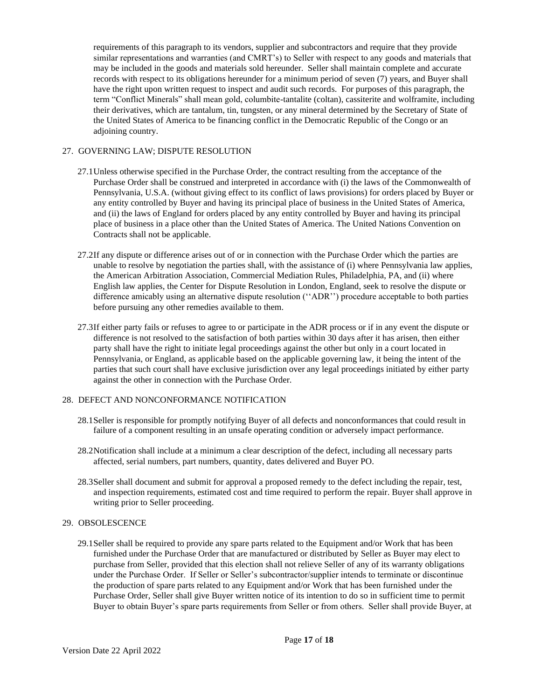requirements of this paragraph to its vendors, supplier and subcontractors and require that they provide similar representations and warranties (and CMRT's) to Seller with respect to any goods and materials that may be included in the goods and materials sold hereunder. Seller shall maintain complete and accurate records with respect to its obligations hereunder for a minimum period of seven (7) years, and Buyer shall have the right upon written request to inspect and audit such records. For purposes of this paragraph, the term "Conflict Minerals" shall mean gold, columbite-tantalite (coltan), cassiterite and wolframite, including their derivatives, which are tantalum, tin, tungsten, or any mineral determined by the Secretary of State of the United States of America to be financing conflict in the Democratic Republic of the Congo or an adjoining country.

### 27. GOVERNING LAW; DISPUTE RESOLUTION

- 27.1Unless otherwise specified in the Purchase Order, the contract resulting from the acceptance of the Purchase Order shall be construed and interpreted in accordance with (i) the laws of the Commonwealth of Pennsylvania, U.S.A. (without giving effect to its conflict of laws provisions) for orders placed by Buyer or any entity controlled by Buyer and having its principal place of business in the United States of America, and (ii) the laws of England for orders placed by any entity controlled by Buyer and having its principal place of business in a place other than the United States of America. The United Nations Convention on Contracts shall not be applicable.
- 27.2If any dispute or difference arises out of or in connection with the Purchase Order which the parties are unable to resolve by negotiation the parties shall, with the assistance of (i) where Pennsylvania law applies, the American Arbitration Association, Commercial Mediation Rules, Philadelphia, PA, and (ii) where English law applies, the Center for Dispute Resolution in London, England, seek to resolve the dispute or difference amicably using an alternative dispute resolution (''ADR'') procedure acceptable to both parties before pursuing any other remedies available to them.
- 27.3If either party fails or refuses to agree to or participate in the ADR process or if in any event the dispute or difference is not resolved to the satisfaction of both parties within 30 days after it has arisen, then either party shall have the right to initiate legal proceedings against the other but only in a court located in Pennsylvania, or England, as applicable based on the applicable governing law, it being the intent of the parties that such court shall have exclusive jurisdiction over any legal proceedings initiated by either party against the other in connection with the Purchase Order.

# 28. DEFECT AND NONCONFORMANCE NOTIFICATION

- 28.1Seller is responsible for promptly notifying Buyer of all defects and nonconformances that could result in failure of a component resulting in an unsafe operating condition or adversely impact performance.
- 28.2Notification shall include at a minimum a clear description of the defect, including all necessary parts affected, serial numbers, part numbers, quantity, dates delivered and Buyer PO.
- 28.3Seller shall document and submit for approval a proposed remedy to the defect including the repair, test, and inspection requirements, estimated cost and time required to perform the repair. Buyer shall approve in writing prior to Seller proceeding.

#### 29. OBSOLESCENCE

29.1Seller shall be required to provide any spare parts related to the Equipment and/or Work that has been furnished under the Purchase Order that are manufactured or distributed by Seller as Buyer may elect to purchase from Seller, provided that this election shall not relieve Seller of any of its warranty obligations under the Purchase Order. If Seller or Seller's subcontractor/supplier intends to terminate or discontinue the production of spare parts related to any Equipment and/or Work that has been furnished under the Purchase Order, Seller shall give Buyer written notice of its intention to do so in sufficient time to permit Buyer to obtain Buyer's spare parts requirements from Seller or from others. Seller shall provide Buyer, at